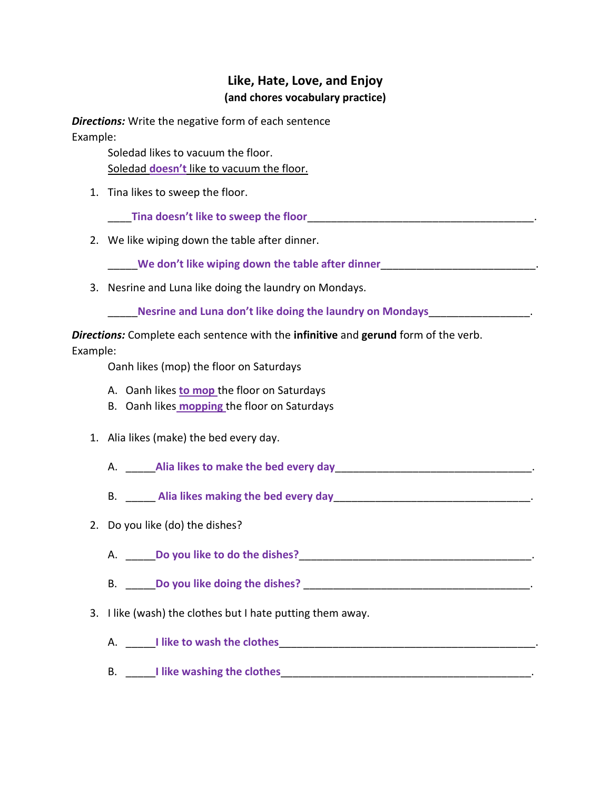## **Like, Hate, Love, and Enjoy (and chores vocabulary practice)**

*Directions:* Write the negative form of each sentence Example:

> Soledad likes to vacuum the floor. Soledad **doesn't** like to vacuum the floor.

1. Tina likes to sweep the floor.

\_\_\_\_**Tina doesn't like to sweep the floor**\_\_\_\_\_\_\_\_\_\_\_\_\_\_\_\_\_\_\_\_\_\_\_\_\_\_\_\_\_\_\_\_\_\_\_\_\_\_.

2. We like wiping down the table after dinner.

\_\_\_\_\_**We don't like wiping down the table after dinner**\_\_\_\_\_\_\_\_\_\_\_\_\_\_\_\_\_\_\_\_\_\_\_\_\_\_.

3. Nesrine and Luna like doing the laundry on Mondays.

\_\_\_\_\_**Nesrine and Luna don't like doing the laundry on Mondays**\_\_\_\_\_\_\_\_\_\_\_\_\_\_\_\_\_.

*Directions:* Complete each sentence with the **infinitive** and **gerund** form of the verb.

Example:

Oanh likes (mop) the floor on Saturdays

- A. Oanh likes **to mop** the floor on Saturdays
- B. Oanh likes **mopping** the floor on Saturdays
- 1. Alia likes (make) the bed every day.
	- A. \_\_\_\_\_**Alia likes to make the bed every day**\_\_\_\_\_\_\_\_\_\_\_\_\_\_\_\_\_\_\_\_\_\_\_\_\_\_\_\_\_\_\_\_\_.
	- B. \_\_\_\_\_ **Alia likes making the bed every day**\_\_\_\_\_\_\_\_\_\_\_\_\_\_\_\_\_\_\_\_\_\_\_\_\_\_\_\_\_\_\_\_\_.
- 2. Do you like (do) the dishes?
	- A. \_\_\_\_\_**Do you like to do the dishes?**\_\_\_\_\_\_\_\_\_\_\_\_\_\_\_\_\_\_\_\_\_\_\_\_\_\_\_\_\_\_\_\_\_\_\_\_\_\_\_.
	- B. **Do you like doing the dishes? Do you like doing the dishes? Letters**
- 3. I like (wash) the clothes but I hate putting them away.
	- A. \_\_\_\_\_**I like to wash the clothes**\_\_\_\_\_\_\_\_\_\_\_\_\_\_\_\_\_\_\_\_\_\_\_\_\_\_\_\_\_\_\_\_\_\_\_\_\_\_\_\_\_\_\_.
	- B. \_\_\_\_\_**I like washing the clothes**\_\_\_\_\_\_\_\_\_\_\_\_\_\_\_\_\_\_\_\_\_\_\_\_\_\_\_\_\_\_\_\_\_\_\_\_\_\_\_\_\_\_.